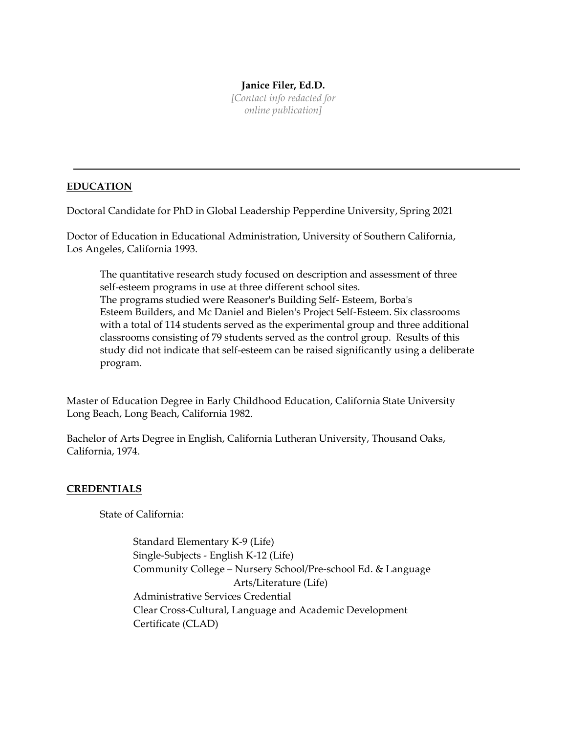#### **Janice Filer, Ed.D.**

*[Contact info redacted for online publication]*

# **EDUCATION**

Doctoral Candidate for PhD in Global Leadership Pepperdine University, Spring 2021

Doctor of Education in Educational Administration, University of Southern California, Los Angeles, California 1993.

The quantitative research study focused on description and assessment of three self-esteem programs in use at three different school sites. The programs studied were Reasoner's Building Self- Esteem, Borba's Esteem Builders, and Mc Daniel and Bielen's Project Self-Esteem. Six classrooms with a total of 114 students served as the experimental group and three additional classrooms consisting of 79 students served as the control group. Results of this study did not indicate that self-esteem can be raised significantly using a deliberate program.

Master of Education Degree in Early Childhood Education, California State University Long Beach, Long Beach, California 1982.

Bachelor of Arts Degree in English, California Lutheran University, Thousand Oaks, California, 1974.

### **CREDENTIALS**

State of California:

Standard Elementary K-9 (Life) Single-Subjects - English K-12 (Life) Community College – Nursery School/Pre-school Ed. & Language Arts/Literature (Life) Administrative Services Credential Clear Cross-Cultural, Language and Academic Development Certificate (CLAD)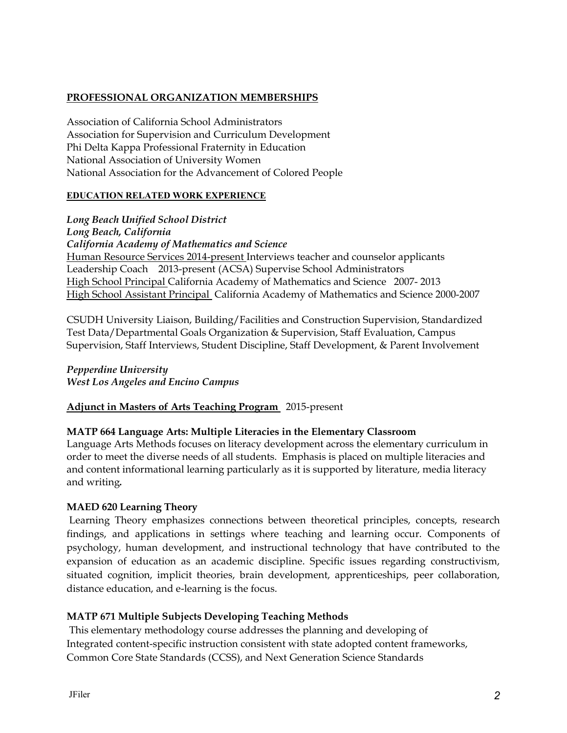# **PROFESSIONAL ORGANIZATION MEMBERSHIPS**

Association of California School Administrators Association for Supervision and Curriculum Development Phi Delta Kappa Professional Fraternity in Education National Association of University Women National Association for the Advancement of Colored People

#### **EDUCATION RELATED WORK EXPERIENCE**

*Long Beach Unified School District Long Beach, California California Academy of Mathematics and Science* Human Resource Services 2014-present Interviews teacher and counselor applicants Leadership Coach 2013-present (ACSA) Supervise School Administrators High School Principal California Academy of Mathematics and Science 2007- 2013 High School Assistant Principal California Academy of Mathematics and Science 2000-2007

CSUDH University Liaison, Building/Facilities and Construction Supervision, Standardized Test Data/Departmental Goals Organization & Supervision, Staff Evaluation, Campus Supervision, Staff Interviews, Student Discipline, Staff Development, & Parent Involvement

*Pepperdine University West Los Angeles and Encino Campus*

**Adjunct in Masters of Arts Teaching Program** 2015-present

### **MATP 664 Language Arts: Multiple Literacies in the Elementary Classroom**

Language Arts Methods focuses on literacy development across the elementary curriculum in order to meet the diverse needs of all students. Emphasis is placed on multiple literacies and and content informational learning particularly as it is supported by literature, media literacy and writing*.* 

### **MAED 620 Learning Theory**

Learning Theory emphasizes connections between theoretical principles, concepts, research findings, and applications in settings where teaching and learning occur. Components of psychology, human development, and instructional technology that have contributed to the expansion of education as an academic discipline. Specific issues regarding constructivism, situated cognition, implicit theories, brain development, apprenticeships, peer collaboration, distance education, and e-learning is the focus.

### **MATP 671 Multiple Subjects Developing Teaching Methods**

This elementary methodology course addresses the planning and developing of Integrated content-specific instruction consistent with state adopted content frameworks, Common Core State Standards (CCSS), and Next Generation Science Standards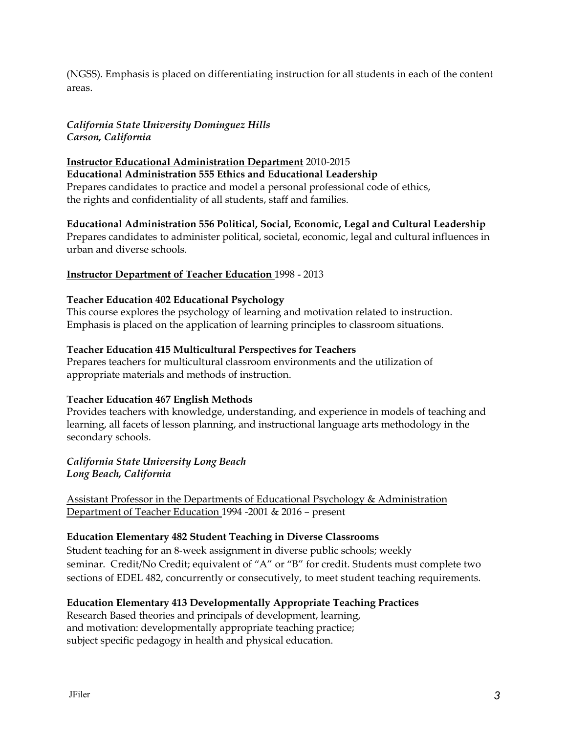(NGSS). Emphasis is placed on differentiating instruction for all students in each of the content areas.

### *California State University Dominguez Hills Carson, California*

**Instructor Educational Administration Department** 2010-2015 **Educational Administration 555 Ethics and Educational Leadership** Prepares candidates to practice and model a personal professional code of ethics, the rights and confidentiality of all students, staff and families.

**Educational Administration 556 Political, Social, Economic, Legal and Cultural Leadership** Prepares candidates to administer political, societal, economic, legal and cultural influences in urban and diverse schools.

### **Instructor Department of Teacher Education** 1998 - 2013

#### **Teacher Education 402 Educational Psychology**

This course explores the psychology of learning and motivation related to instruction. Emphasis is placed on the application of learning principles to classroom situations.

#### **Teacher Education 415 Multicultural Perspectives for Teachers**

Prepares teachers for multicultural classroom environments and the utilization of appropriate materials and methods of instruction.

#### **Teacher Education 467 English Methods**

Provides teachers with knowledge, understanding, and experience in models of teaching and learning, all facets of lesson planning, and instructional language arts methodology in the secondary schools.

#### *California State University Long Beach Long Beach, California*

Assistant Professor in the Departments of Educational Psychology & Administration Department of Teacher Education 1994 -2001 & 2016 – present

### **Education Elementary 482 Student Teaching in Diverse Classrooms**

Student teaching for an 8-week assignment in diverse public schools; weekly seminar. Credit/No Credit; equivalent of "A" or "B" for credit. Students must complete two sections of EDEL 482, concurrently or consecutively, to meet student teaching requirements.

### **Education Elementary 413 Developmentally Appropriate Teaching Practices**

Research Based theories and principals of development, learning, and motivation: developmentally appropriate teaching practice; subject specific pedagogy in health and physical education.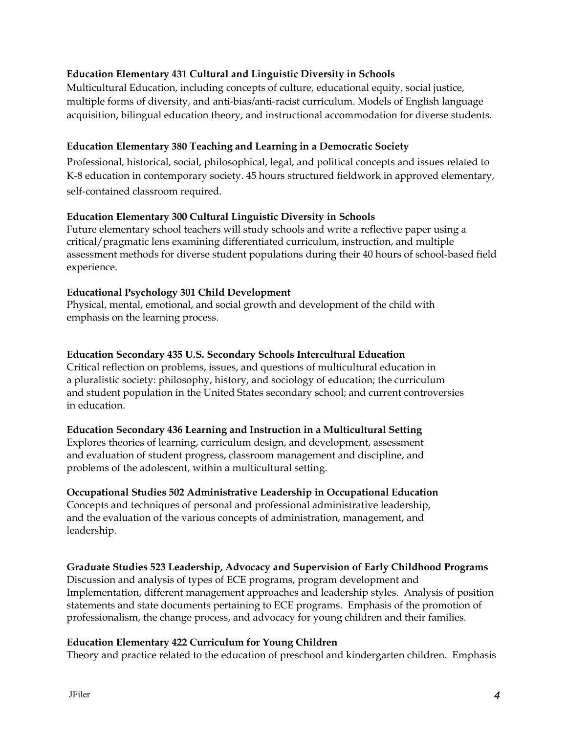# **Education Elementary 431 Cultural and Linguistic Diversity in Schools**

Multicultural Education, including concepts of culture, educational equity, social justice, multiple forms of diversity, and anti-bias/anti-racist curriculum. Models of English language acquisition, bilingual education theory, and instructional accommodation for diverse students.

# **Education Elementary 380 Teaching and Learning in a Democratic Society**

Professional, historical, social, philosophical, legal, and political concepts and issues related to K-8 education in contemporary society. 45 hours structured fieldwork in approved elementary, self-contained classroom required.

### **Education Elementary 300 Cultural Linguistic Diversity in Schools**

Future elementary school teachers will study schools and write a reflective paper using a critical/pragmatic lens examining differentiated curriculum, instruction, and multiple assessment methods for diverse student populations during their 40 hours of school-based field experience.

### **Educational Psychology 301 Child Development**

Physical, mental, emotional, and social growth and development of the child with emphasis on the learning process.

### **Education Secondary 435 U.S. Secondary Schools Intercultural Education**

Critical reflection on problems, issues, and questions of multicultural education in a pluralistic society: philosophy, history, and sociology of education; the curriculum and student population in the United States secondary school; and current controversies in education.

### **Education Secondary 436 Learning and Instruction in a Multicultural Setting**

Explores theories of learning, curriculum design, and development, assessment and evaluation of student progress, classroom management and discipline, and problems of the adolescent, within a multicultural setting.

# **Occupational Studies 502 Administrative Leadership in Occupational Education**

Concepts and techniques of personal and professional administrative leadership, and the evaluation of the various concepts of administration, management, and leadership.

### **Graduate Studies 523 Leadership, Advocacy and Supervision of Early Childhood Programs**

Discussion and analysis of types of ECE programs, program development and Implementation, different management approaches and leadership styles. Analysis of position statements and state documents pertaining to ECE programs. Emphasis of the promotion of professionalism, the change process, and advocacy for young children and their families.

### **Education Elementary 422 Curriculum for Young Children**

Theory and practice related to the education of preschool and kindergarten children. Emphasis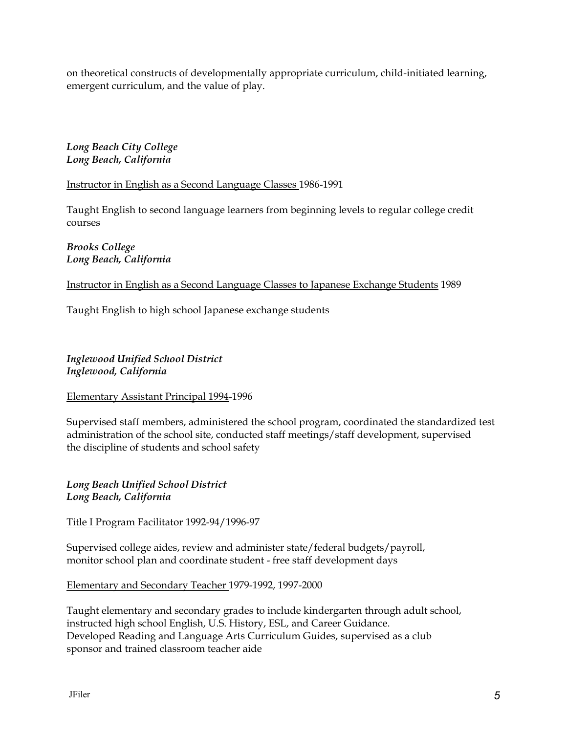on theoretical constructs of developmentally appropriate curriculum, child-initiated learning, emergent curriculum, and the value of play.

*Long Beach City College Long Beach, California*

Instructor in English as a Second Language Classes 1986-1991

Taught English to second language learners from beginning levels to regular college credit courses

*Brooks College Long Beach, California*

Instructor in English as a Second Language Classes to Japanese Exchange Students 1989

Taught English to high school Japanese exchange students

*Inglewood Unified School District Inglewood, California*

Elementary Assistant Principal 1994-1996

Supervised staff members, administered the school program, coordinated the standardized test administration of the school site, conducted staff meetings/staff development, supervised the discipline of students and school safety

*Long Beach Unified School District Long Beach, California*

Title I Program Facilitator 1992-94/1996-97

Supervised college aides, review and administer state/federal budgets/payroll, monitor school plan and coordinate student - free staff development days

Elementary and Secondary Teacher 1979-1992, 1997-2000

Taught elementary and secondary grades to include kindergarten through adult school, instructed high school English, U.S. History, ESL, and Career Guidance. Developed Reading and Language Arts Curriculum Guides, supervised as a club sponsor and trained classroom teacher aide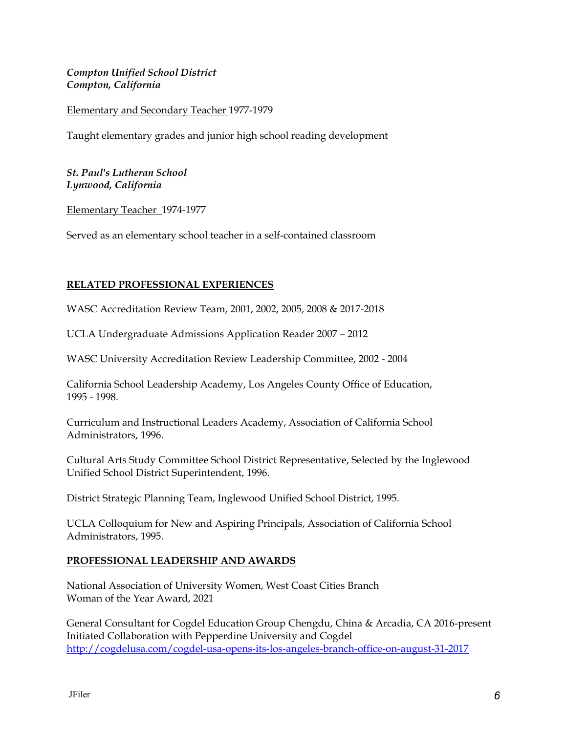### *Compton Unified School District Compton, California*

### Elementary and Secondary Teacher 1977-1979

Taught elementary grades and junior high school reading development

#### *St. Paul's Lutheran School Lynwood, California*

Elementary Teacher 1974-1977

Served as an elementary school teacher in a self-contained classroom

### **RELATED PROFESSIONAL EXPERIENCES**

WASC Accreditation Review Team, 2001, 2002, 2005, 2008 & 2017-2018

UCLA Undergraduate Admissions Application Reader 2007 – 2012

WASC University Accreditation Review Leadership Committee, 2002 - 2004

California School Leadership Academy, Los Angeles County Office of Education, 1995 - 1998.

Curriculum and Instructional Leaders Academy, Association of California School Administrators, 1996.

Cultural Arts Study Committee School District Representative, Selected by the Inglewood Unified School District Superintendent, 1996.

District Strategic Planning Team, Inglewood Unified School District, 1995.

UCLA Colloquium for New and Aspiring Principals, Association of California School Administrators, 1995.

### **PROFESSIONAL LEADERSHIP AND AWARDS**

National Association of University Women, West Coast Cities Branch Woman of the Year Award, 2021

General Consultant for Cogdel Education Group Chengdu, China & Arcadia, CA 2016-present Initiated Collaboration with Pepperdine University and Cogdel <http://cogdelusa.com/cogdel-usa-opens-its-los-angeles-branch-office-on-august-31-2017>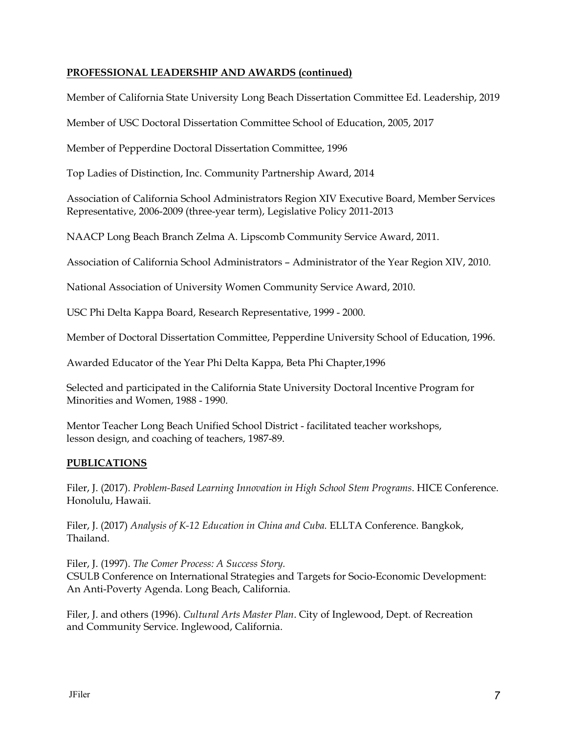# **PROFESSIONAL LEADERSHIP AND AWARDS (continued)**

Member of California State University Long Beach Dissertation Committee Ed. Leadership, 2019

Member of USC Doctoral Dissertation Committee School of Education, 2005, 2017

Member of Pepperdine Doctoral Dissertation Committee, 1996

Top Ladies of Distinction, Inc. Community Partnership Award, 2014

Association of California School Administrators Region XIV Executive Board, Member Services Representative, 2006-2009 (three-year term), Legislative Policy 2011-2013

NAACP Long Beach Branch Zelma A. Lipscomb Community Service Award, 2011.

Association of California School Administrators – Administrator of the Year Region XIV, 2010.

National Association of University Women Community Service Award, 2010.

USC Phi Delta Kappa Board, Research Representative, 1999 - 2000.

Member of Doctoral Dissertation Committee, Pepperdine University School of Education, 1996.

Awarded Educator of the Year Phi Delta Kappa, Beta Phi Chapter,1996

Selected and participated in the California State University Doctoral Incentive Program for Minorities and Women, 1988 - 1990.

Mentor Teacher Long Beach Unified School District - facilitated teacher workshops, lesson design, and coaching of teachers, 1987-89.

### **PUBLICATIONS**

Filer, J. (2017). *Problem-Based Learning Innovation in High School Stem Programs*. HICE Conference. Honolulu, Hawaii.

Filer, J. (2017) *Analysis of K-12 Education in China and Cuba.* ELLTA Conference. Bangkok, Thailand.

Filer, J. (1997). *The Comer Process: A Success Story.* CSULB Conference on International Strategies and Targets for Socio-Economic Development: An Anti-Poverty Agenda. Long Beach, California.

Filer, J. and others (1996). *Cultural Arts Master Plan*. City of Inglewood, Dept. of Recreation and Community Service. Inglewood, California.